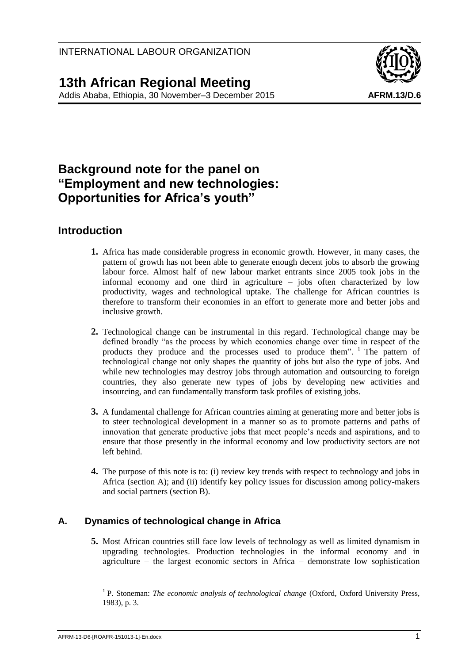

# **Background note for the panel on "Employment and new technologies: Opportunities for Africa's youth"**

## **Introduction**

- **1.** Africa has made considerable progress in economic growth. However, in many cases, the pattern of growth has not been able to generate enough decent jobs to absorb the growing labour force. Almost half of new labour market entrants since 2005 took jobs in the informal economy and one third in agriculture – jobs often characterized by low productivity, wages and technological uptake. The challenge for African countries is therefore to transform their economies in an effort to generate more and better jobs and inclusive growth.
- **2.** Technological change can be instrumental in this regard. Technological change may be defined broadly "as the process by which economies change over time in respect of the products they produce and the processes used to produce them". <sup>1</sup> The pattern of technological change not only shapes the quantity of jobs but also the type of jobs. And while new technologies may destroy jobs through automation and outsourcing to foreign countries, they also generate new types of jobs by developing new activities and insourcing, and can fundamentally transform task profiles of existing jobs.
- **3.** A fundamental challenge for African countries aiming at generating more and better jobs is to steer technological development in a manner so as to promote patterns and paths of innovation that generate productive jobs that meet people's needs and aspirations, and to ensure that those presently in the informal economy and low productivity sectors are not left behind.
- **4.** The purpose of this note is to: (i) review key trends with respect to technology and jobs in Africa (section A); and (ii) identify key policy issues for discussion among policy-makers and social partners (section B).

## **A. Dynamics of technological change in Africa**

**5.** Most African countries still face low levels of technology as well as limited dynamism in upgrading technologies. Production technologies in the informal economy and in agriculture – the largest economic sectors in Africa – demonstrate low sophistication

<sup>1</sup> P. Stoneman: *The economic analysis of technological change* (Oxford, Oxford University Press, 1983), p. 3.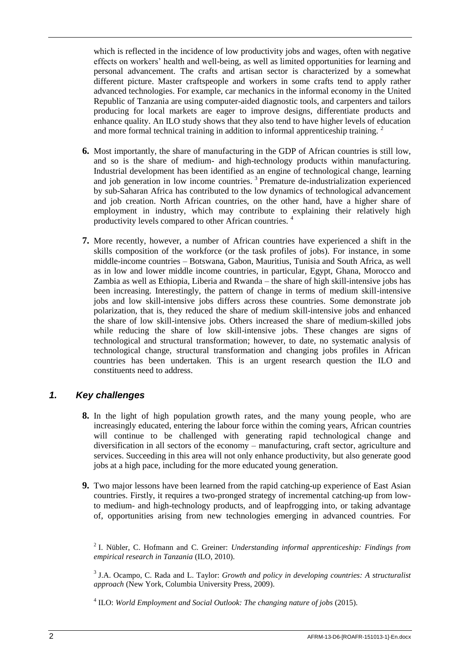which is reflected in the incidence of low productivity jobs and wages, often with negative effects on workers' health and well-being, as well as limited opportunities for learning and personal advancement. The crafts and artisan sector is characterized by a somewhat different picture. Master craftspeople and workers in some crafts tend to apply rather advanced technologies. For example, car mechanics in the informal economy in the United Republic of Tanzania are using computer-aided diagnostic tools, and carpenters and tailors producing for local markets are eager to improve designs, differentiate products and enhance quality. An ILO study shows that they also tend to have higher levels of education and more formal technical training in addition to informal apprenticeship training.<sup>2</sup>

- **6.** Most importantly, the share of manufacturing in the GDP of African countries is still low, and so is the share of medium- and high-technology products within manufacturing. Industrial development has been identified as an engine of technological change, learning and job generation in low income countries.<sup>3</sup> Premature de-industrialization experienced by sub-Saharan Africa has contributed to the low dynamics of technological advancement and job creation. North African countries, on the other hand, have a higher share of employment in industry, which may contribute to explaining their relatively high productivity levels compared to other African countries. <sup>4</sup>
- **7.** More recently, however, a number of African countries have experienced a shift in the skills composition of the workforce (or the task profiles of jobs). For instance, in some middle-income countries – Botswana, Gabon, Mauritius, Tunisia and South Africa, as well as in low and lower middle income countries, in particular, Egypt, Ghana, Morocco and Zambia as well as Ethiopia, Liberia and Rwanda – the share of high skill-intensive jobs has been increasing. Interestingly, the pattern of change in terms of medium skill-intensive jobs and low skill-intensive jobs differs across these countries. Some demonstrate job polarization, that is, they reduced the share of medium skill-intensive jobs and enhanced the share of low skill-intensive jobs. Others increased the share of medium-skilled jobs while reducing the share of low skill-intensive jobs. These changes are signs of technological and structural transformation; however, to date, no systematic analysis of technological change, structural transformation and changing jobs profiles in African countries has been undertaken. This is an urgent research question the ILO and constituents need to address.

#### *1. Key challenges*

- **8.** In the light of high population growth rates, and the many young people, who are increasingly educated, entering the labour force within the coming years, African countries will continue to be challenged with generating rapid technological change and diversification in all sectors of the economy – manufacturing, craft sector, agriculture and services. Succeeding in this area will not only enhance productivity, but also generate good jobs at a high pace, including for the more educated young generation.
- **9.** Two major lessons have been learned from the rapid catching-up experience of East Asian countries. Firstly, it requires a two-pronged strategy of incremental catching-up from lowto medium- and high-technology products, and of leapfrogging into, or taking advantage of, opportunities arising from new technologies emerging in advanced countries. For

2 I. Nübler, C. Hofmann and C. Greiner: *Understanding informal apprenticeship: Findings from empirical research in Tanzania* (ILO, 2010).

3 J.A. Ocampo, C. Rada and L. Taylor: *Growth and policy in developing countries: A structuralist approach* (New York, Columbia University Press, 2009).

<sup>4</sup> ILO: *World Employment and Social Outlook: The changing nature of jobs* (2015).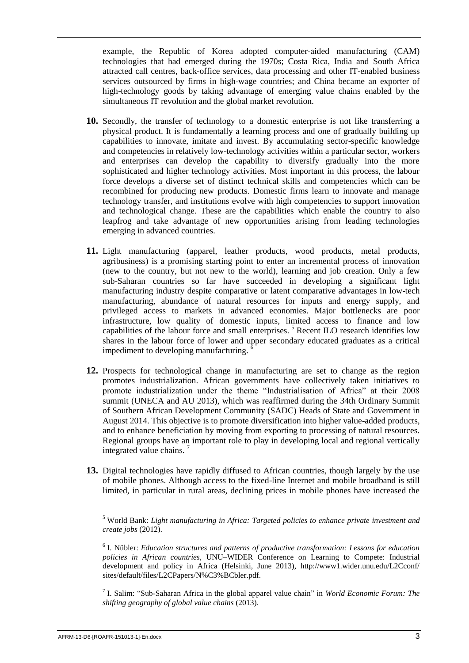example, the Republic of Korea adopted computer-aided manufacturing (CAM) technologies that had emerged during the 1970s; Costa Rica, India and South Africa attracted call centres, back-office services, data processing and other IT-enabled business services outsourced by firms in high-wage countries; and China became an exporter of high-technology goods by taking advantage of emerging value chains enabled by the simultaneous IT revolution and the global market revolution.

- **10.** Secondly, the transfer of technology to a domestic enterprise is not like transferring a physical product. It is fundamentally a learning process and one of gradually building up capabilities to innovate, imitate and invest. By accumulating sector-specific knowledge and competencies in relatively low-technology activities within a particular sector, workers and enterprises can develop the capability to diversify gradually into the more sophisticated and higher technology activities. Most important in this process, the labour force develops a diverse set of distinct technical skills and competencies which can be recombined for producing new products. Domestic firms learn to innovate and manage technology transfer, and institutions evolve with high competencies to support innovation and technological change. These are the capabilities which enable the country to also leapfrog and take advantage of new opportunities arising from leading technologies emerging in advanced countries.
- **11.** Light manufacturing (apparel, leather products, wood products, metal products, agribusiness) is a promising starting point to enter an incremental process of innovation (new to the country, but not new to the world), learning and job creation. Only a few sub-Saharan countries so far have succeeded in developing a significant light manufacturing industry despite comparative or latent comparative advantages in low-tech manufacturing, abundance of natural resources for inputs and energy supply, and privileged access to markets in advanced economies. Major bottlenecks are poor infrastructure, low quality of domestic inputs, limited access to finance and low capabilities of the labour force and small enterprises.<sup>5</sup> Recent ILO research identifies low shares in the labour force of lower and upper secondary educated graduates as a critical impediment to developing manufacturing.
- **12.** Prospects for technological change in manufacturing are set to change as the region promotes industrialization. African governments have collectively taken initiatives to promote industrialization under the theme "Industrialisation of Africa" at their 2008 summit (UNECA and AU 2013), which was reaffirmed during the 34th Ordinary Summit of Southern African Development Community (SADC) Heads of State and Government in August 2014. This objective is to promote diversification into higher value-added products, and to enhance beneficiation by moving from exporting to processing of natural resources. Regional groups have an important role to play in developing local and regional vertically integrated value chains. <sup>7</sup>
- **13.** Digital technologies have rapidly diffused to African countries, though largely by the use of mobile phones. Although access to the fixed-line Internet and mobile broadband is still limited, in particular in rural areas, declining prices in mobile phones have increased the

<sup>5</sup> World Bank: *Light manufacturing in Africa: Targeted policies to enhance private investment and create jobs* (2012)*.*

6 I. Nübler: *Education structures and patterns of productive transformation: Lessons for education policies in African countries*, UNU–WIDER Conference on Learning to Compete: Industrial development and policy in Africa (Helsinki, June 2013), http://www1.wider.unu.edu/L2Cconf/ sites/default/files/L2CPapers/N%C3%BCbler.pdf.

7 I. Salim: "Sub-Saharan Africa in the global apparel value chain" in *World Economic Forum: The shifting geography of global value chains* (2013).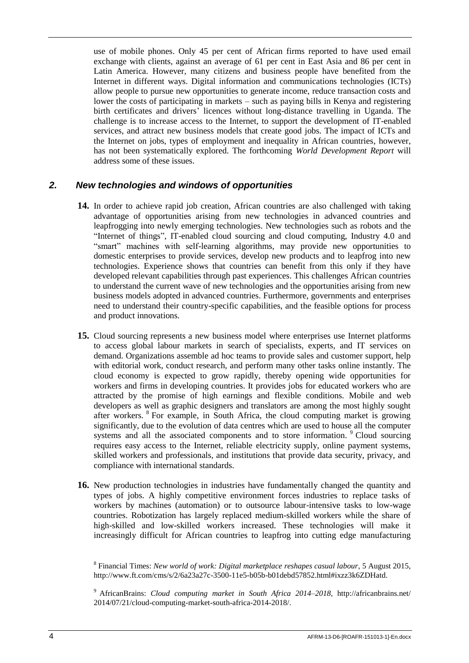use of mobile phones. Only 45 per cent of African firms reported to have used email exchange with clients, against an average of 61 per cent in East Asia and 86 per cent in Latin America. However, many citizens and business people have benefited from the Internet in different ways. Digital information and communications technologies (ICTs) allow people to pursue new opportunities to generate income, reduce transaction costs and lower the costs of participating in markets – such as paying bills in Kenya and registering birth certificates and drivers' licences without long-distance travelling in Uganda. The challenge is to increase access to the Internet, to support the development of IT-enabled services, and attract new business models that create good jobs. The impact of ICTs and the Internet on jobs, types of employment and inequality in African countries, however, has not been systematically explored. The forthcoming *World Development Report* will address some of these issues.

#### *2. New technologies and windows of opportunities*

- **14.** In order to achieve rapid job creation, African countries are also challenged with taking advantage of opportunities arising from new technologies in advanced countries and leapfrogging into newly emerging technologies. New technologies such as robots and the "Internet of things", IT-enabled cloud sourcing and cloud computing, Industry 4.0 and "smart" machines with self-learning algorithms, may provide new opportunities to domestic enterprises to provide services, develop new products and to leapfrog into new technologies. Experience shows that countries can benefit from this only if they have developed relevant capabilities through past experiences. This challenges African countries to understand the current wave of new technologies and the opportunities arising from new business models adopted in advanced countries. Furthermore, governments and enterprises need to understand their country-specific capabilities, and the feasible options for process and product innovations.
- **15.** Cloud sourcing represents a new business model where enterprises use Internet platforms to access global labour markets in search of specialists, experts, and IT services on demand. Organizations assemble ad hoc teams to provide sales and customer support, help with editorial work, conduct research, and perform many other tasks online instantly. The cloud economy is expected to grow rapidly, thereby opening wide opportunities for workers and firms in developing countries. It provides jobs for educated workers who are attracted by the promise of high earnings and flexible conditions. Mobile and web developers as well as graphic designers and translators are among the most highly sought after workers. <sup>8</sup> For example, in South Africa, the cloud computing market is growing significantly, due to the evolution of data centres which are used to house all the computer systems and all the associated components and to store information. <sup>9</sup> Cloud sourcing requires easy access to the Internet, reliable electricity supply, online payment systems, skilled workers and professionals, and institutions that provide data security, privacy, and compliance with international standards.
- **16.** New production technologies in industries have fundamentally changed the quantity and types of jobs. A highly competitive environment forces industries to replace tasks of workers by machines (automation) or to outsource labour-intensive tasks to low-wage countries. Robotization has largely replaced medium-skilled workers while the share of high-skilled and low-skilled workers increased. These technologies will make it increasingly difficult for African countries to leapfrog into cutting edge manufacturing

<sup>8</sup> Financial Times: *New world of work: Digital marketplace reshapes casual labour*, 5 August 2015, http://www.ft.com/cms/s/2/6a23a27c-3500-11e5-b05b-b01debd57852.html#ixzz3k6ZDHatd.

<sup>9</sup> AfricanBrains: *Cloud computing market in South Africa 2014–2018*, http://africanbrains.net/ 2014/07/21/cloud-computing-market-south-africa-2014-2018/.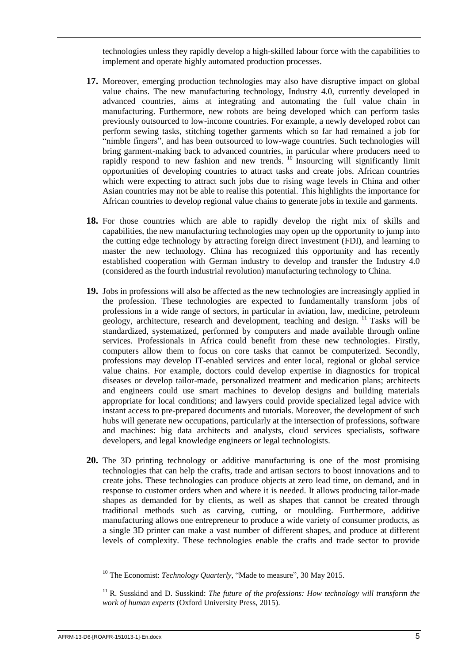technologies unless they rapidly develop a high-skilled labour force with the capabilities to implement and operate highly automated production processes.

- **17.** Moreover, emerging production technologies may also have disruptive impact on global value chains. The new manufacturing technology, Industry 4.0, currently developed in advanced countries, aims at integrating and automating the full value chain in manufacturing. Furthermore, new robots are being developed which can perform tasks previously outsourced to low-income countries. For example, a newly developed robot can perform sewing tasks, stitching together garments which so far had remained a job for "nimble fingers", and has been outsourced to low-wage countries. Such technologies will bring garment-making back to advanced countries, in particular where producers need to rapidly respond to new fashion and new trends.  $10^{\circ}$  Insourcing will significantly limit opportunities of developing countries to attract tasks and create jobs. African countries which were expecting to attract such jobs due to rising wage levels in China and other Asian countries may not be able to realise this potential. This highlights the importance for African countries to develop regional value chains to generate jobs in textile and garments.
- **18.** For those countries which are able to rapidly develop the right mix of skills and capabilities, the new manufacturing technologies may open up the opportunity to jump into the cutting edge technology by attracting foreign direct investment (FDI), and learning to master the new technology. China has recognized this opportunity and has recently established cooperation with German industry to develop and transfer the Industry 4.0 (considered as the fourth industrial revolution) manufacturing technology to China.
- **19.** Jobs in professions will also be affected as the new technologies are increasingly applied in the profession. These technologies are expected to fundamentally transform jobs of professions in a wide range of sectors, in particular in aviation, law, medicine, petroleum geology, architecture, research and development, teaching and design. <sup>11</sup> Tasks will be standardized, systematized, performed by computers and made available through online services. Professionals in Africa could benefit from these new technologies. Firstly, computers allow them to focus on core tasks that cannot be computerized. Secondly, professions may develop IT-enabled services and enter local, regional or global service value chains. For example, doctors could develop expertise in diagnostics for tropical diseases or develop tailor-made, personalized treatment and medication plans; architects and engineers could use smart machines to develop designs and building materials appropriate for local conditions; and lawyers could provide specialized legal advice with instant access to pre-prepared documents and tutorials. Moreover, the development of such hubs will generate new occupations, particularly at the intersection of professions, software and machines: big data architects and analysts, cloud services specialists, software developers, and legal knowledge engineers or legal technologists.
- **20.** The 3D printing technology or additive manufacturing is one of the most promising technologies that can help the crafts, trade and artisan sectors to boost innovations and to create jobs. These technologies can produce objects at zero lead time, on demand, and in response to customer orders when and where it is needed. It allows producing tailor-made shapes as demanded for by clients, as well as shapes that cannot be created through traditional methods such as carving, cutting, or moulding. Furthermore, additive manufacturing allows one entrepreneur to produce a wide variety of consumer products, as a single 3D printer can make a vast number of different shapes, and produce at different levels of complexity. These technologies enable the crafts and trade sector to provide

<sup>&</sup>lt;sup>10</sup> The Economist: *Technology Quarterly*, "Made to measure", 30 May 2015.

<sup>&</sup>lt;sup>11</sup> R. Susskind and D. Susskind: *The future of the professions: How technology will transform the work of human experts* (Oxford University Press, 2015).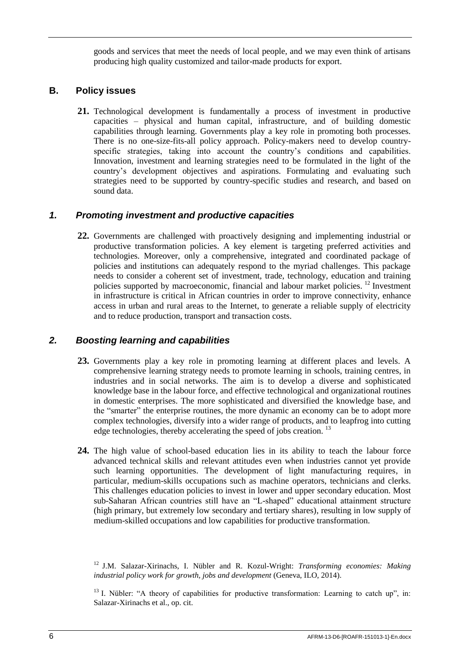goods and services that meet the needs of local people, and we may even think of artisans producing high quality customized and tailor-made products for export.

#### **B. Policy issues**

**21.** Technological development is fundamentally a process of investment in productive capacities – physical and human capital, infrastructure, and of building domestic capabilities through learning. Governments play a key role in promoting both processes. There is no one-size-fits-all policy approach. Policy-makers need to develop countryspecific strategies, taking into account the country's conditions and capabilities. Innovation, investment and learning strategies need to be formulated in the light of the country's development objectives and aspirations. Formulating and evaluating such strategies need to be supported by country-specific studies and research, and based on sound data.

#### *1. Promoting investment and productive capacities*

**22.** Governments are challenged with proactively designing and implementing industrial or productive transformation policies. A key element is targeting preferred activities and technologies. Moreover, only a comprehensive, integrated and coordinated package of policies and institutions can adequately respond to the myriad challenges. This package needs to consider a coherent set of investment, trade, technology, education and training policies supported by macroeconomic, financial and labour market policies.<sup>12</sup> Investment in infrastructure is critical in African countries in order to improve connectivity, enhance access in urban and rural areas to the Internet, to generate a reliable supply of electricity and to reduce production, transport and transaction costs.

#### *2. Boosting learning and capabilities*

- **23.** Governments play a key role in promoting learning at different places and levels. A comprehensive learning strategy needs to promote learning in schools, training centres, in industries and in social networks. The aim is to develop a diverse and sophisticated knowledge base in the labour force, and effective technological and organizational routines in domestic enterprises. The more sophisticated and diversified the knowledge base, and the "smarter" the enterprise routines, the more dynamic an economy can be to adopt more complex technologies, diversify into a wider range of products, and to leapfrog into cutting edge technologies, thereby accelerating the speed of jobs creation.  $^{13}$
- **24.** The high value of school-based education lies in its ability to teach the labour force advanced technical skills and relevant attitudes even when industries cannot yet provide such learning opportunities. The development of light manufacturing requires, in particular, medium-skills occupations such as machine operators, technicians and clerks. This challenges education policies to invest in lower and upper secondary education. Most sub-Saharan African countries still have an "L-shaped" educational attainment structure (high primary, but extremely low secondary and tertiary shares), resulting in low supply of medium-skilled occupations and low capabilities for productive transformation.

<sup>12</sup> J.M. Salazar-Xirinachs, I. Nübler and R. Kozul-Wright: *Transforming economies: Making industrial policy work for growth, jobs and development* (Geneva, ILO, 2014).

 $13$  I. Nübler: "A theory of capabilities for productive transformation: Learning to catch up", in: Salazar-Xirinachs et al., op. cit.